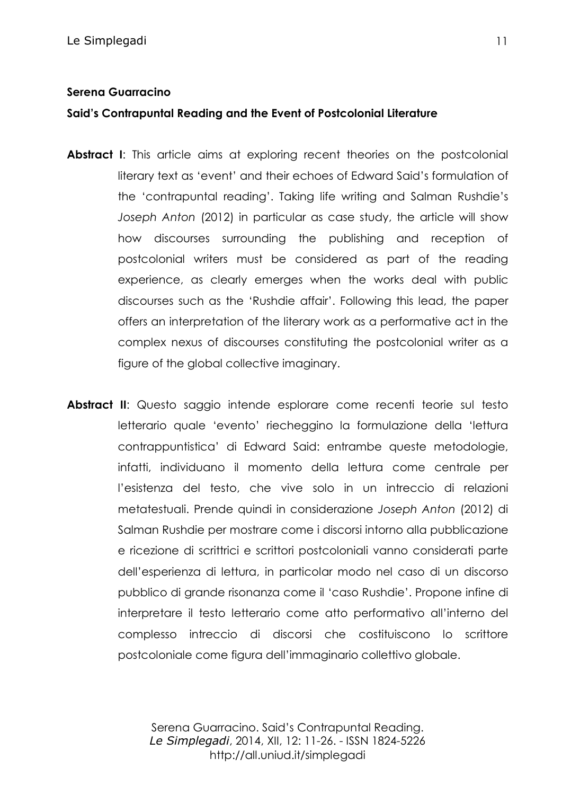## **Serena Guarracino**

## **Said's Contrapuntal Reading and the Event of Postcolonial Literature**

- **Abstract I:** This article aims at exploring recent theories on the postcolonial literary text as 'event' and their echoes of Edward Said's formulation of the 'contrapuntal reading'. Taking life writing and Salman Rushdie's *Joseph Anton* (2012) in particular as case study, the article will show how discourses surrounding the publishing and reception of postcolonial writers must be considered as part of the reading experience, as clearly emerges when the works deal with public discourses such as the 'Rushdie affair'. Following this lead, the paper offers an interpretation of the literary work as a performative act in the complex nexus of discourses constituting the postcolonial writer as a figure of the global collective imaginary.
- **Abstract II**: Questo saggio intende esplorare come recenti teorie sul testo letterario quale 'evento' riecheggino la formulazione della 'lettura contrappuntistica' di Edward Said: entrambe queste metodologie, infatti, individuano il momento della lettura come centrale per l'esistenza del testo, che vive solo in un intreccio di relazioni metatestuali. Prende quindi in considerazione *Joseph Anton* (2012) di Salman Rushdie per mostrare come i discorsi intorno alla pubblicazione e ricezione di scrittrici e scrittori postcoloniali vanno considerati parte dell'esperienza di lettura, in particolar modo nel caso di un discorso pubblico di grande risonanza come il 'caso Rushdie'. Propone infine di interpretare il testo letterario come atto performativo all'interno del complesso intreccio di discorsi che costituiscono lo scrittore postcoloniale come figura dell'immaginario collettivo globale.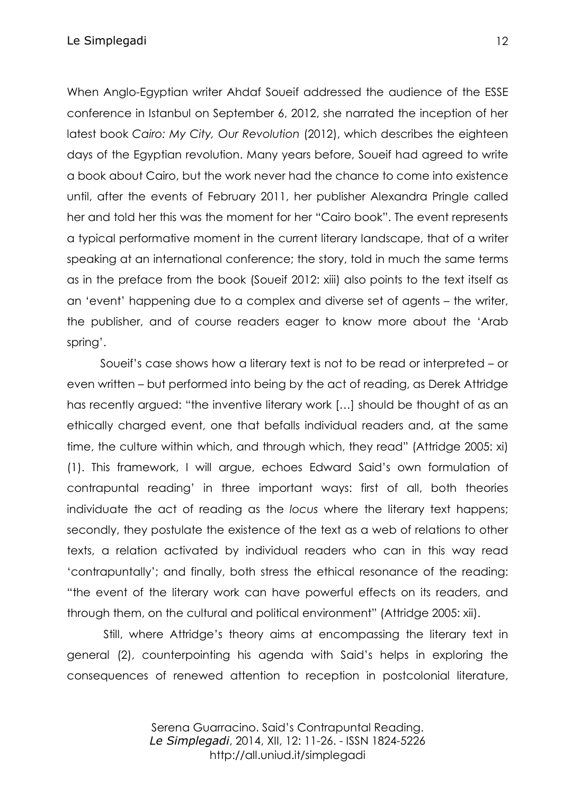When Anglo-Egyptian writer Ahdaf Soueif addressed the audience of the ESSE conference in Istanbul on September 6, 2012, she narrated the inception of her latest book *Cairo: My City, Our Revolution* (2012), which describes the eighteen days of the Egyptian revolution. Many years before, Soueif had agreed to write a book about Cairo, but the work never had the chance to come into existence until, after the events of February 2011, her publisher Alexandra Pringle called her and told her this was the moment for her "Cairo book". The event represents a typical performative moment in the current literary landscape, that of a writer speaking at an international conference; the story, told in much the same terms as in the preface from the book (Soueif 2012: xiii) also points to the text itself as an 'event' happening due to a complex and diverse set of agents – the writer, the publisher, and of course readers eager to know more about the 'Arab spring'.

Soueif's case shows how a literary text is not to be read or interpreted – or even written – but performed into being by the act of reading, as Derek Attridge has recently argued: "the inventive literary work […] should be thought of as an ethically charged event, one that befalls individual readers and, at the same time, the culture within which, and through which, they read" (Attridge 2005: xi) (1). This framework, I will argue, echoes Edward Said's own formulation of contrapuntal reading' in three important ways: first of all, both theories individuate the act of reading as the *locus* where the literary text happens; secondly, they postulate the existence of the text as a web of relations to other texts, a relation activated by individual readers who can in this way read 'contrapuntally'; and finally, both stress the ethical resonance of the reading: "the event of the literary work can have powerful effects on its readers, and through them, on the cultural and political environment" (Attridge 2005: xii).

Still, where Attridge's theory aims at encompassing the literary text in general (2), counterpointing his agenda with Said's helps in exploring the consequences of renewed attention to reception in postcolonial literature,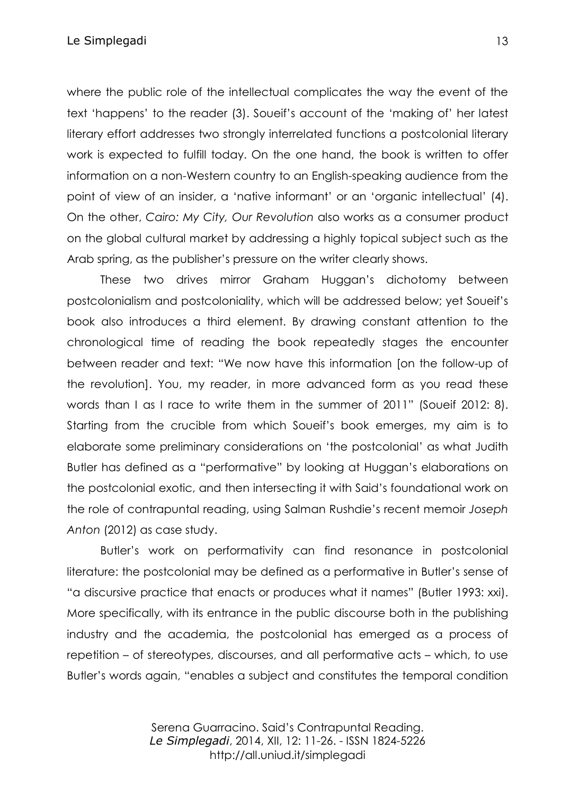where the public role of the intellectual complicates the way the event of the text 'happens' to the reader (3). Soueif's account of the 'making of' her latest literary effort addresses two strongly interrelated functions a postcolonial literary work is expected to fulfill today. On the one hand, the book is written to offer information on a non-Western country to an English-speaking audience from the point of view of an insider, a 'native informant' or an 'organic intellectual' (4). On the other, *Cairo: My City, Our Revolution* also works as a consumer product on the global cultural market by addressing a highly topical subject such as the Arab spring, as the publisher's pressure on the writer clearly shows.

These two drives mirror Graham Huggan's dichotomy between postcolonialism and postcoloniality, which will be addressed below; yet Soueif's book also introduces a third element. By drawing constant attention to the chronological time of reading the book repeatedly stages the encounter between reader and text: "We now have this information [on the follow-up of the revolution]. You, my reader, in more advanced form as you read these words than I as I race to write them in the summer of 2011" (Soueif 2012: 8). Starting from the crucible from which Soueif's book emerges, my aim is to elaborate some preliminary considerations on 'the postcolonial' as what Judith Butler has defined as a "performative" by looking at Huggan's elaborations on the postcolonial exotic, and then intersecting it with Said's foundational work on the role of contrapuntal reading, using Salman Rushdie's recent memoir *Joseph Anton* (2012) as case study.

Butler's work on performativity can find resonance in postcolonial literature: the postcolonial may be defined as a performative in Butler's sense of "a discursive practice that enacts or produces what it names" (Butler 1993: xxi). More specifically, with its entrance in the public discourse both in the publishing industry and the academia, the postcolonial has emerged as a process of repetition – of stereotypes, discourses, and all performative acts – which, to use Butler's words again, "enables a subject and constitutes the temporal condition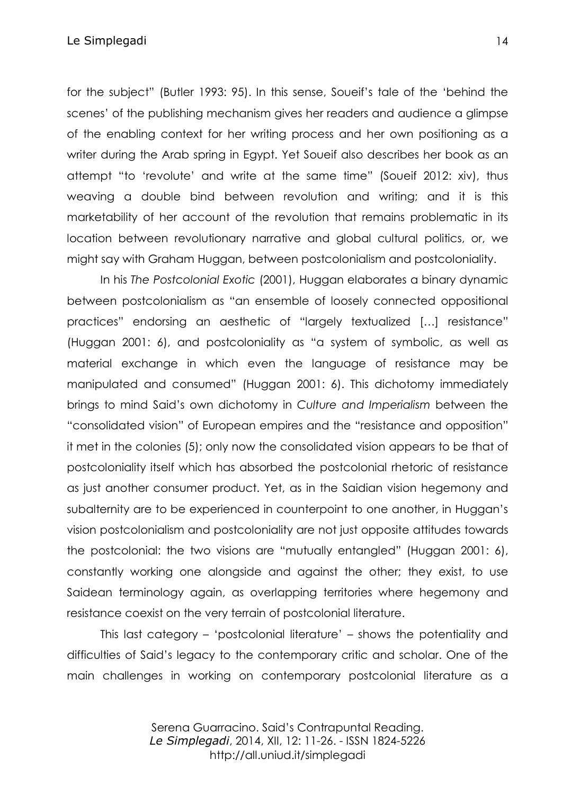for the subject" (Butler 1993: 95). In this sense, Soueif's tale of the 'behind the scenes' of the publishing mechanism gives her readers and audience a glimpse of the enabling context for her writing process and her own positioning as a writer during the Arab spring in Egypt. Yet Soueif also describes her book as an attempt "to 'revolute' and write at the same time" (Soueif 2012: xiv), thus weaving a double bind between revolution and writing; and it is this marketability of her account of the revolution that remains problematic in its location between revolutionary narrative and global cultural politics, or, we might say with Graham Huggan, between postcolonialism and postcoloniality.

In his *The Postcolonial Exotic* (2001), Huggan elaborates a binary dynamic between postcolonialism as "an ensemble of loosely connected oppositional practices" endorsing an aesthetic of "largely textualized […] resistance" (Huggan 2001: 6), and postcoloniality as "a system of symbolic, as well as material exchange in which even the language of resistance may be manipulated and consumed" (Huggan 2001: 6). This dichotomy immediately brings to mind Said's own dichotomy in *Culture and Imperialism* between the "consolidated vision" of European empires and the "resistance and opposition" it met in the colonies (5); only now the consolidated vision appears to be that of postcoloniality itself which has absorbed the postcolonial rhetoric of resistance as just another consumer product. Yet, as in the Saidian vision hegemony and subalternity are to be experienced in counterpoint to one another, in Huggan's vision postcolonialism and postcoloniality are not just opposite attitudes towards the postcolonial: the two visions are "mutually entangled" (Huggan 2001: 6), constantly working one alongside and against the other; they exist, to use Saidean terminology again, as overlapping territories where hegemony and resistance coexist on the very terrain of postcolonial literature.

This last category – 'postcolonial literature' – shows the potentiality and difficulties of Said's legacy to the contemporary critic and scholar. One of the main challenges in working on contemporary postcolonial literature as a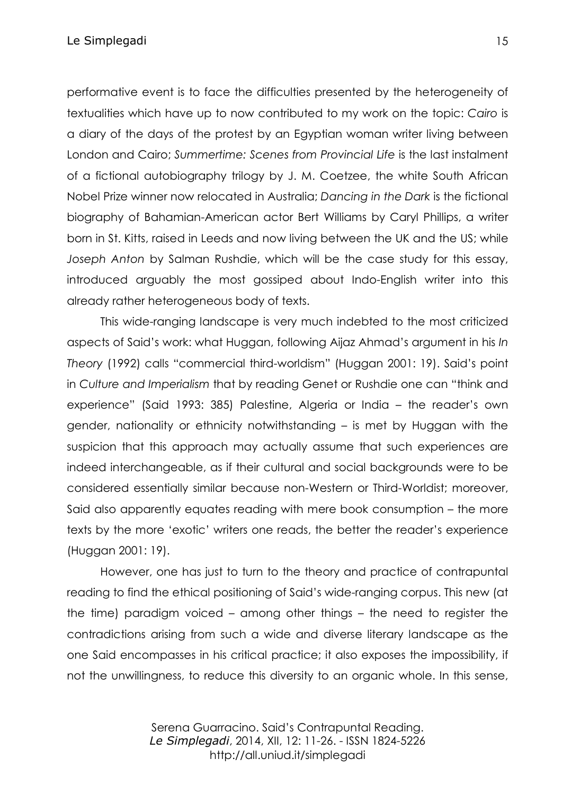performative event is to face the difficulties presented by the heterogeneity of textualities which have up to now contributed to my work on the topic: *Cairo* is a diary of the days of the protest by an Egyptian woman writer living between London and Cairo; *Summertime: Scenes from Provincial Life* is the last instalment of a fictional autobiography trilogy by J. M. Coetzee, the white South African Nobel Prize winner now relocated in Australia; *Dancing in the Dark* is the fictional biography of Bahamian-American actor Bert Williams by Caryl Phillips, a writer born in St. Kitts, raised in Leeds and now living between the UK and the US; while *Joseph Anton* by Salman Rushdie, which will be the case study for this essay, introduced arguably the most gossiped about Indo-English writer into this already rather heterogeneous body of texts.

This wide-ranging landscape is very much indebted to the most criticized aspects of Said's work: what Huggan, following Aijaz Ahmad's argument in his *In Theory* (1992) calls "commercial third-worldism" (Huggan 2001: 19). Said's point in *Culture and Imperialism* that by reading Genet or Rushdie one can "think and experience" (Said 1993: 385) Palestine, Algeria or India – the reader's own gender, nationality or ethnicity notwithstanding – is met by Huggan with the suspicion that this approach may actually assume that such experiences are indeed interchangeable, as if their cultural and social backgrounds were to be considered essentially similar because non-Western or Third-Worldist; moreover, Said also apparently equates reading with mere book consumption – the more texts by the more 'exotic' writers one reads, the better the reader's experience (Huggan 2001: 19).

However, one has just to turn to the theory and practice of contrapuntal reading to find the ethical positioning of Said's wide-ranging corpus. This new (at the time) paradigm voiced – among other things – the need to register the contradictions arising from such a wide and diverse literary landscape as the one Said encompasses in his critical practice; it also exposes the impossibility, if not the unwillingness, to reduce this diversity to an organic whole. In this sense,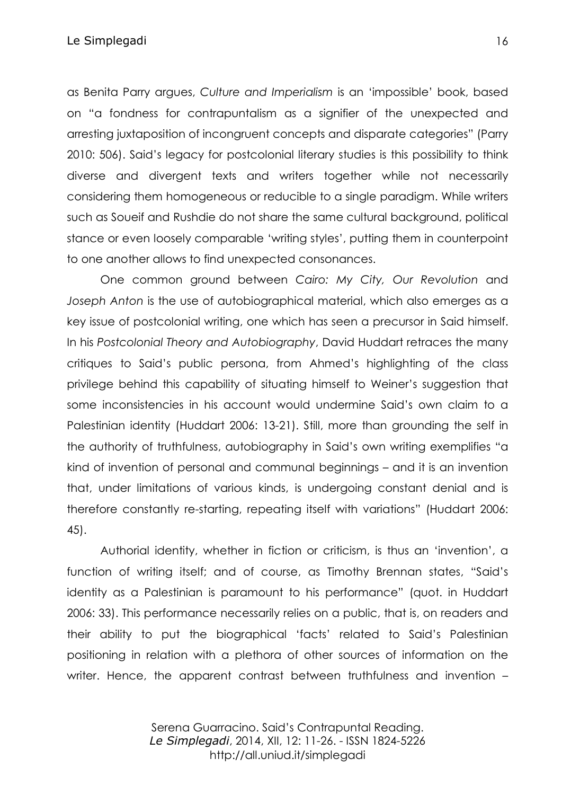as Benita Parry argues, *Culture and Imperialism* is an 'impossible' book, based on "a fondness for contrapuntalism as a signifier of the unexpected and arresting juxtaposition of incongruent concepts and disparate categories" (Parry 2010: 506). Said's legacy for postcolonial literary studies is this possibility to think diverse and divergent texts and writers together while not necessarily considering them homogeneous or reducible to a single paradigm. While writers such as Soueif and Rushdie do not share the same cultural background, political stance or even loosely comparable 'writing styles', putting them in counterpoint to one another allows to find unexpected consonances.

One common ground between *Cairo: My City, Our Revolution* and *Joseph Anton* is the use of autobiographical material, which also emerges as a key issue of postcolonial writing, one which has seen a precursor in Said himself. In his *Postcolonial Theory and Autobiography*, David Huddart retraces the many critiques to Said's public persona, from Ahmed's highlighting of the class privilege behind this capability of situating himself to Weiner's suggestion that some inconsistencies in his account would undermine Said's own claim to a Palestinian identity (Huddart 2006: 13-21). Still, more than grounding the self in the authority of truthfulness, autobiography in Said's own writing exemplifies "a kind of invention of personal and communal beginnings – and it is an invention that, under limitations of various kinds, is undergoing constant denial and is therefore constantly re-starting, repeating itself with variations" (Huddart 2006: 45).

Authorial identity, whether in fiction or criticism, is thus an 'invention', a function of writing itself; and of course, as Timothy Brennan states, "Said's identity as a Palestinian is paramount to his performance" (quot. in Huddart 2006: 33). This performance necessarily relies on a public, that is, on readers and their ability to put the biographical 'facts' related to Said's Palestinian positioning in relation with a plethora of other sources of information on the writer. Hence, the apparent contrast between truthfulness and invention -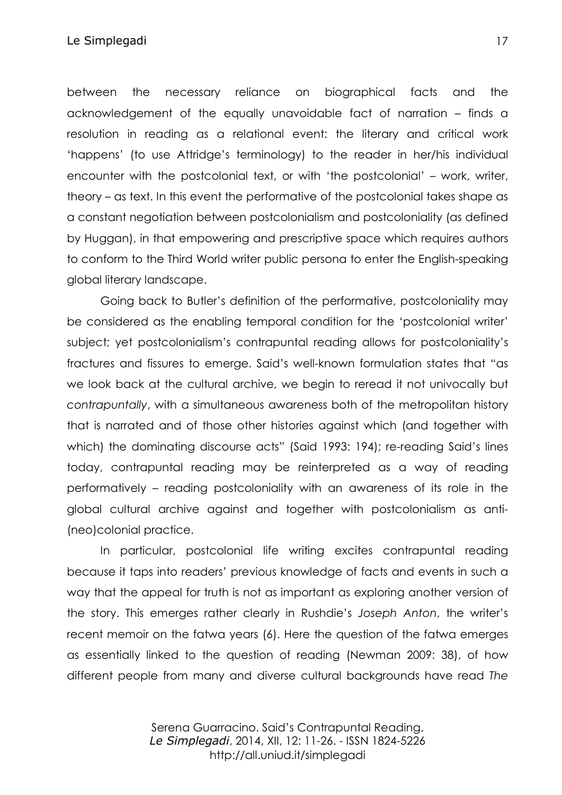between the necessary reliance on biographical facts and the acknowledgement of the equally unavoidable fact of narration – finds a resolution in reading as a relational event: the literary and critical work 'happens' (to use Attridge's terminology) to the reader in her/his individual encounter with the postcolonial text, or with 'the postcolonial' – work, writer, theory – as text. In this event the performative of the postcolonial takes shape as a constant negotiation between postcolonialism and postcoloniality (as defined by Huggan), in that empowering and prescriptive space which requires authors to conform to the Third World writer public persona to enter the English-speaking global literary landscape.

Going back to Butler's definition of the performative, postcoloniality may be considered as the enabling temporal condition for the 'postcolonial writer' subject; yet postcolonialism's contrapuntal reading allows for postcoloniality's fractures and fissures to emerge. Said's well-known formulation states that "as we look back at the cultural archive, we begin to reread it not univocally but *contrapuntally*, with a simultaneous awareness both of the metropolitan history that is narrated and of those other histories against which (and together with which) the dominating discourse acts" (Said 1993: 194); re-reading Said's lines today, contrapuntal reading may be reinterpreted as a way of reading performatively – reading postcoloniality with an awareness of its role in the global cultural archive against and together with postcolonialism as anti- (neo)colonial practice.

In particular, postcolonial life writing excites contrapuntal reading because it taps into readers' previous knowledge of facts and events in such a way that the appeal for truth is not as important as exploring another version of the story. This emerges rather clearly in Rushdie's *Joseph Anton*, the writer's recent memoir on the fatwa years (6). Here the question of the fatwa emerges as essentially linked to the question of reading (Newman 2009: 38), of how different people from many and diverse cultural backgrounds have read *The*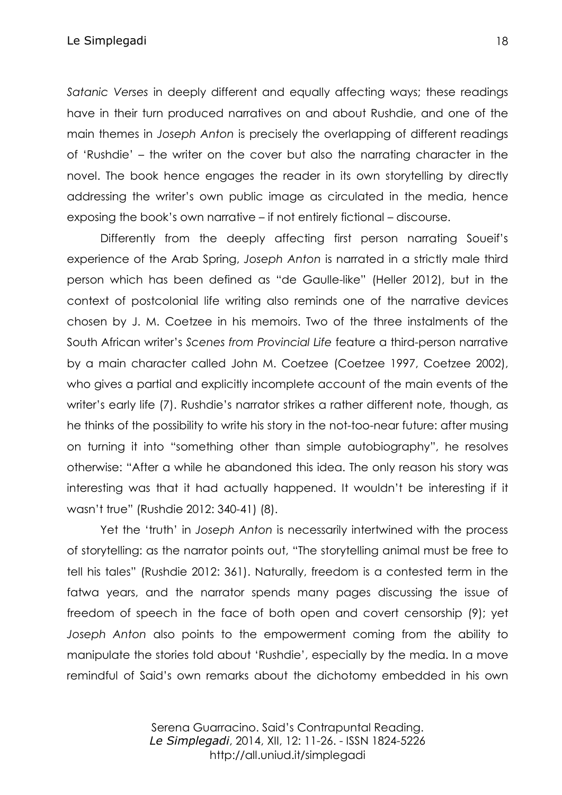*Satanic Verses* in deeply different and equally affecting ways; these readings have in their turn produced narratives on and about Rushdie, and one of the main themes in *Joseph Anton* is precisely the overlapping of different readings of 'Rushdie' – the writer on the cover but also the narrating character in the novel. The book hence engages the reader in its own storytelling by directly addressing the writer's own public image as circulated in the media, hence exposing the book's own narrative – if not entirely fictional – discourse.

Differently from the deeply affecting first person narrating Soueif's experience of the Arab Spring, *Joseph Anton* is narrated in a strictly male third person which has been defined as "de Gaulle-like" (Heller 2012), but in the context of postcolonial life writing also reminds one of the narrative devices chosen by J. M. Coetzee in his memoirs. Two of the three instalments of the South African writer's *Scenes from Provincial Life* feature a third-person narrative by a main character called John M. Coetzee (Coetzee 1997, Coetzee 2002), who gives a partial and explicitly incomplete account of the main events of the writer's early life (7). Rushdie's narrator strikes a rather different note, though, as he thinks of the possibility to write his story in the not-too-near future: after musing on turning it into "something other than simple autobiography", he resolves otherwise: "After a while he abandoned this idea. The only reason his story was interesting was that it had actually happened. It wouldn't be interesting if it wasn't true" (Rushdie 2012: 340-41) (8).

Yet the 'truth' in *Joseph Anton* is necessarily intertwined with the process of storytelling: as the narrator points out, "The storytelling animal must be free to tell his tales" (Rushdie 2012: 361). Naturally, freedom is a contested term in the fatwa years, and the narrator spends many pages discussing the issue of freedom of speech in the face of both open and covert censorship (9); yet *Joseph Anton* also points to the empowerment coming from the ability to manipulate the stories told about 'Rushdie', especially by the media. In a move remindful of Said's own remarks about the dichotomy embedded in his own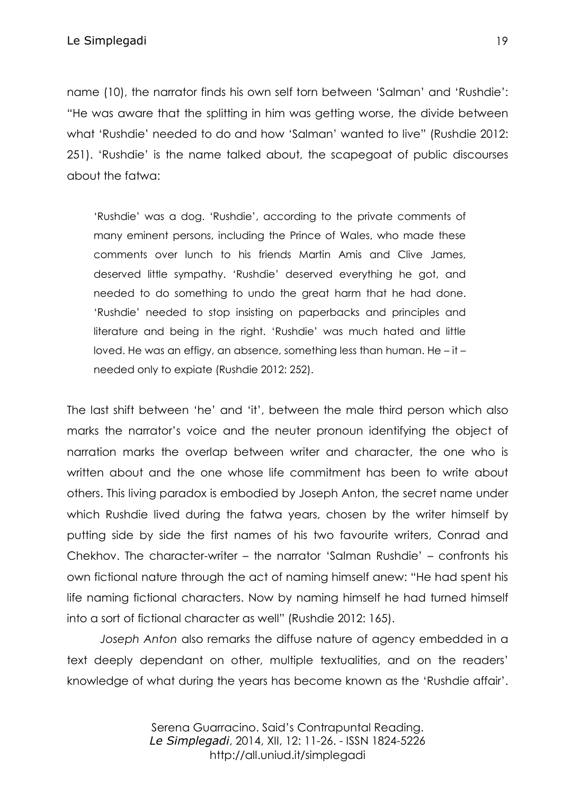name (10), the narrator finds his own self torn between 'Salman' and 'Rushdie': "He was aware that the splitting in him was getting worse, the divide between what 'Rushdie' needed to do and how 'Salman' wanted to live" (Rushdie 2012: 251). 'Rushdie' is the name talked about, the scapegoat of public discourses about the fatwa:

'Rushdie' was a dog. 'Rushdie', according to the private comments of many eminent persons, including the Prince of Wales, who made these comments over lunch to his friends Martin Amis and Clive James, deserved little sympathy. 'Rushdie' deserved everything he got, and needed to do something to undo the great harm that he had done. 'Rushdie' needed to stop insisting on paperbacks and principles and literature and being in the right. 'Rushdie' was much hated and little loved. He was an effigy, an absence, something less than human. He – it – needed only to expiate (Rushdie 2012: 252).

The last shift between 'he' and 'it', between the male third person which also marks the narrator's voice and the neuter pronoun identifying the object of narration marks the overlap between writer and character, the one who is written about and the one whose life commitment has been to write about others. This living paradox is embodied by Joseph Anton, the secret name under which Rushdie lived during the fatwa years, chosen by the writer himself by putting side by side the first names of his two favourite writers, Conrad and Chekhov. The character-writer – the narrator 'Salman Rushdie' – confronts his own fictional nature through the act of naming himself anew: "He had spent his life naming fictional characters. Now by naming himself he had turned himself into a sort of fictional character as well" (Rushdie 2012: 165).

*Joseph Anton* also remarks the diffuse nature of agency embedded in a text deeply dependant on other, multiple textualities, and on the readers' knowledge of what during the years has become known as the 'Rushdie affair'.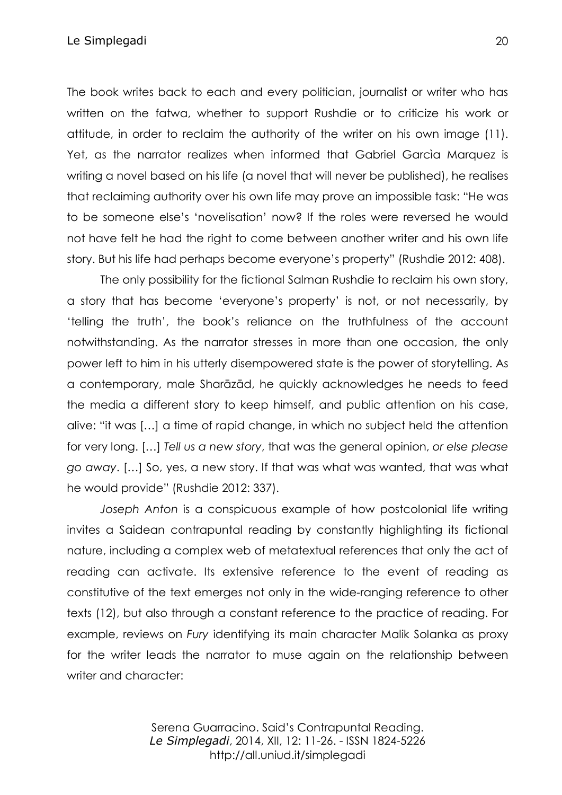The book writes back to each and every politician, journalist or writer who has written on the fatwa, whether to support Rushdie or to criticize his work or attitude, in order to reclaim the authority of the writer on his own image (11). Yet, as the narrator realizes when informed that Gabriel Garcìa Marquez is writing a novel based on his life (a novel that will never be published), he realises that reclaiming authority over his own life may prove an impossible task: "He was to be someone else's 'novelisation' now? If the roles were reversed he would not have felt he had the right to come between another writer and his own life story. But his life had perhaps become everyone's property" (Rushdie 2012: 408).

The only possibility for the fictional Salman Rushdie to reclaim his own story, a story that has become 'everyone's property' is not, or not necessarily, by 'telling the truth', the book's reliance on the truthfulness of the account notwithstanding. As the narrator stresses in more than one occasion, the only power left to him in his utterly disempowered state is the power of storytelling. As a contemporary, male Sharāzād, he quickly acknowledges he needs to feed the media a different story to keep himself, and public attention on his case, alive: "it was […] a time of rapid change, in which no subject held the attention for very long. […] *Tell us a new story*, that was the general opinion, *or else please go away*. […] So, yes, a new story. If that was what was wanted, that was what he would provide" (Rushdie 2012: 337).

*Joseph Anton* is a conspicuous example of how postcolonial life writing invites a Saidean contrapuntal reading by constantly highlighting its fictional nature, including a complex web of metatextual references that only the act of reading can activate. Its extensive reference to the event of reading as constitutive of the text emerges not only in the wide-ranging reference to other texts (12), but also through a constant reference to the practice of reading. For example, reviews on *Fury* identifying its main character Malik Solanka as proxy for the writer leads the narrator to muse again on the relationship between writer and character:

> Serena Guarracino. Said's Contrapuntal Reading. *Le Simplegadi*, 2014, XII, 12: 11-26. - ISSN 1824-5226 http://all.uniud.it/simplegadi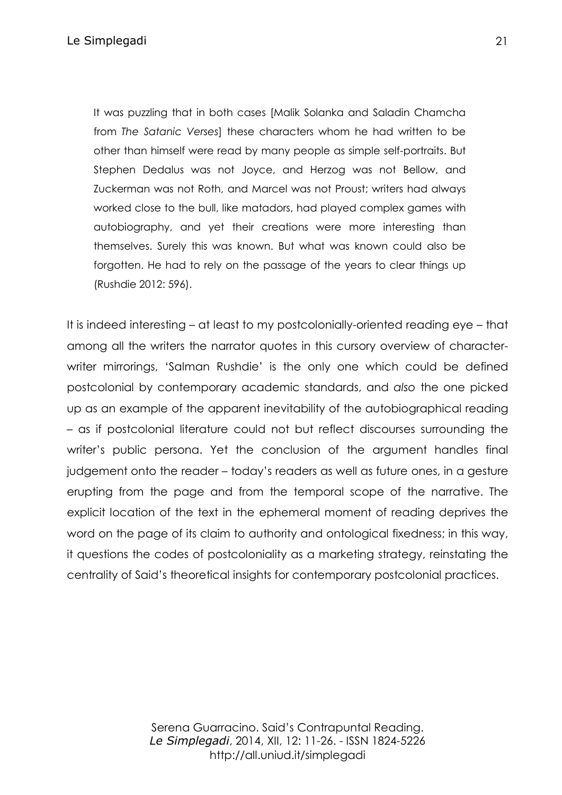It was puzzling that in both cases [Malik Solanka and Saladin Chamcha from *The Satanic Verses*] these characters whom he had written to be other than himself were read by many people as simple self-portraits. But Stephen Dedalus was not Joyce, and Herzog was not Bellow, and Zuckerman was not Roth, and Marcel was not Proust; writers had always worked close to the bull, like matadors, had played complex games with autobiography, and yet their creations were more interesting than themselves. Surely this was known. But what was known could also be forgotten. He had to rely on the passage of the years to clear things up (Rushdie 2012: 596).

It is indeed interesting – at least to my postcolonially-oriented reading eye – that among all the writers the narrator quotes in this cursory overview of characterwriter mirrorings, 'Salman Rushdie' is the only one which could be defined postcolonial by contemporary academic standards, and *also* the one picked up as an example of the apparent inevitability of the autobiographical reading – as if postcolonial literature could not but reflect discourses surrounding the writer's public persona. Yet the conclusion of the argument handles final judgement onto the reader – today's readers as well as future ones, in a gesture erupting from the page and from the temporal scope of the narrative. The explicit location of the text in the ephemeral moment of reading deprives the word on the page of its claim to authority and ontological fixedness; in this way, it questions the codes of postcoloniality as a marketing strategy, reinstating the centrality of Said's theoretical insights for contemporary postcolonial practices.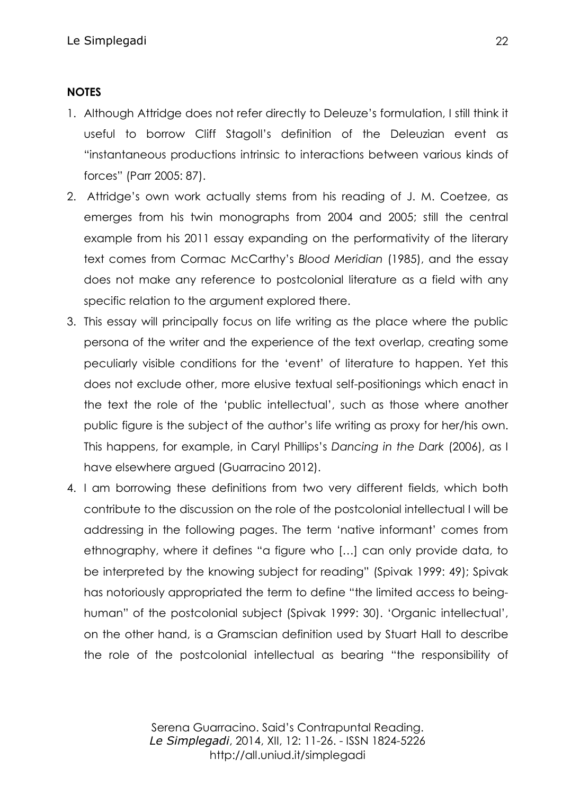## **NOTES**

- 1. Although Attridge does not refer directly to Deleuze's formulation, I still think it useful to borrow Cliff Stagoll's definition of the Deleuzian event as "instantaneous productions intrinsic to interactions between various kinds of forces" (Parr 2005: 87).
- 2. Attridge's own work actually stems from his reading of J. M. Coetzee, as emerges from his twin monographs from 2004 and 2005; still the central example from his 2011 essay expanding on the performativity of the literary text comes from Cormac McCarthy's *Blood Meridian* (1985), and the essay does not make any reference to postcolonial literature as a field with any specific relation to the argument explored there.
- 3. This essay will principally focus on life writing as the place where the public persona of the writer and the experience of the text overlap, creating some peculiarly visible conditions for the 'event' of literature to happen. Yet this does not exclude other, more elusive textual self-positionings which enact in the text the role of the 'public intellectual', such as those where another public figure is the subject of the author's life writing as proxy for her/his own. This happens, for example, in Caryl Phillips's *Dancing in the Dark* (2006), as I have elsewhere argued (Guarracino 2012).
- 4. I am borrowing these definitions from two very different fields, which both contribute to the discussion on the role of the postcolonial intellectual I will be addressing in the following pages. The term 'native informant' comes from ethnography, where it defines "a figure who […] can only provide data, to be interpreted by the knowing subject for reading" (Spivak 1999: 49); Spivak has notoriously appropriated the term to define "the limited access to beinghuman" of the postcolonial subject (Spivak 1999: 30). 'Organic intellectual', on the other hand, is a Gramscian definition used by Stuart Hall to describe the role of the postcolonial intellectual as bearing "the responsibility of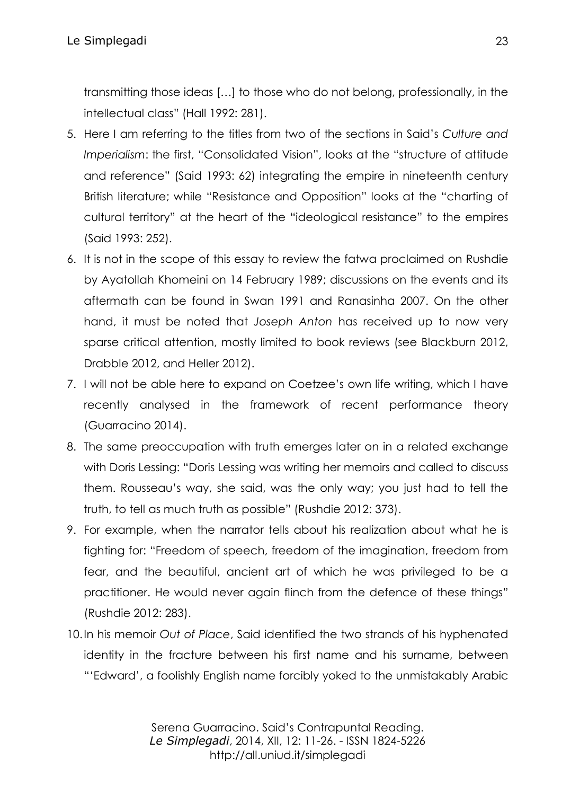transmitting those ideas […] to those who do not belong, professionally, in the intellectual class" (Hall 1992: 281).

- 5. Here I am referring to the titles from two of the sections in Said's *Culture and Imperialism*: the first, "Consolidated Vision", looks at the "structure of attitude and reference" (Said 1993: 62) integrating the empire in nineteenth century British literature; while "Resistance and Opposition" looks at the "charting of cultural territory" at the heart of the "ideological resistance" to the empires (Said 1993: 252).
- 6. It is not in the scope of this essay to review the fatwa proclaimed on Rushdie by Ayatollah Khomeini on 14 February 1989; discussions on the events and its aftermath can be found in Swan 1991 and Ranasinha 2007. On the other hand, it must be noted that *Joseph Anton* has received up to now very sparse critical attention, mostly limited to book reviews (see Blackburn 2012, Drabble 2012, and Heller 2012).
- 7. I will not be able here to expand on Coetzee's own life writing, which I have recently analysed in the framework of recent performance theory (Guarracino 2014).
- 8. The same preoccupation with truth emerges later on in a related exchange with Doris Lessing: "Doris Lessing was writing her memoirs and called to discuss them. Rousseau's way, she said, was the only way; you just had to tell the truth, to tell as much truth as possible" (Rushdie 2012: 373).
- 9. For example, when the narrator tells about his realization about what he is fighting for: "Freedom of speech, freedom of the imagination, freedom from fear, and the beautiful, ancient art of which he was privileged to be a practitioner. He would never again flinch from the defence of these things" (Rushdie 2012: 283).
- 10.In his memoir *Out of Place*, Said identified the two strands of his hyphenated identity in the fracture between his first name and his surname, between "'Edward', a foolishly English name forcibly yoked to the unmistakably Arabic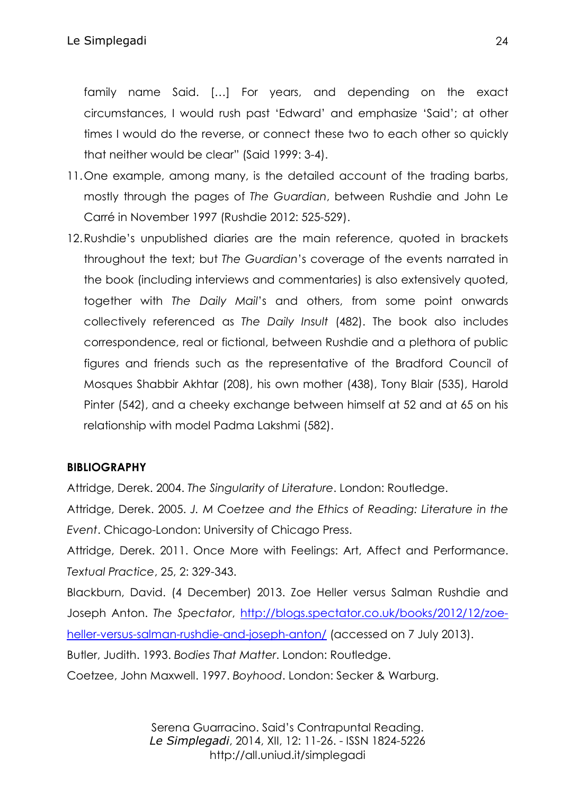family name Said. […] For years, and depending on the exact circumstances, I would rush past 'Edward' and emphasize 'Said'; at other times I would do the reverse, or connect these two to each other so quickly that neither would be clear" (Said 1999: 3-4).

- 11.One example, among many, is the detailed account of the trading barbs, mostly through the pages of *The Guardian*, between Rushdie and John Le Carré in November 1997 (Rushdie 2012: 525-529).
- 12.Rushdie's unpublished diaries are the main reference, quoted in brackets throughout the text; but *The Guardian*'s coverage of the events narrated in the book (including interviews and commentaries) is also extensively quoted, together with *The Daily Mail*'s and others, from some point onwards collectively referenced as *The Daily Insult* (482). The book also includes correspondence, real or fictional, between Rushdie and a plethora of public figures and friends such as the representative of the Bradford Council of Mosques Shabbir Akhtar (208), his own mother (438), Tony Blair (535), Harold Pinter (542), and a cheeky exchange between himself at 52 and at 65 on his relationship with model Padma Lakshmi (582).

## **BIBLIOGRAPHY**

Attridge, Derek. 2004. *The Singularity of Literature*. London: Routledge.

Attridge, Derek. 2005. *J. M Coetzee and the Ethics of Reading: Literature in the Event*. Chicago-London: University of Chicago Press.

Attridge, Derek. 2011. Once More with Feelings: Art, Affect and Performance. *Textual Practice*, 25, 2: 329-343.

Blackburn, David. (4 December) 2013. Zoe Heller versus Salman Rushdie and Joseph Anton. *The Spectator*, [http://blogs.spectator.co.uk/books/2012/12/zoe](http://blogs.spectator.co.uk/books/2012/12/zoe-heller-versus-salman-rushdie-and-joseph-anton/)[heller-versus-salman-rushdie-and-joseph-anton/](http://blogs.spectator.co.uk/books/2012/12/zoe-heller-versus-salman-rushdie-and-joseph-anton/) (accessed on 7 July 2013). Butler, Judith. 1993. *Bodies That Matter*. London: Routledge.

Coetzee, John Maxwell. 1997. *Boyhood*. London: Secker & Warburg.

Serena Guarracino. Said's Contrapuntal Reading. *Le Simplegadi*, 2014, XII, 12: 11-26. - ISSN 1824-5226 http://all.uniud.it/simplegadi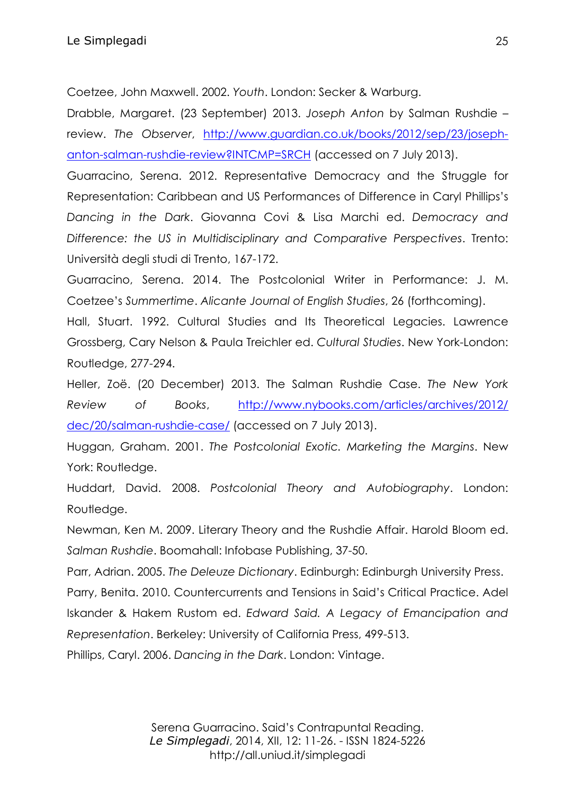Coetzee, John Maxwell. 2002. *Youth*. London: Secker & Warburg.

Drabble, Margaret. (23 September) 2013. *Joseph Anton* by Salman Rushdie – review. *The Observer*, [http://www.guardian.co.uk/books/2012/sep/23/joseph](http://www.guardian.co.uk/books/2012/sep/23/joseph-anton-salman-rushdie-review?INTCMP=SRCH)[anton-salman-rushdie-review?INTCMP=SRCH](http://www.guardian.co.uk/books/2012/sep/23/joseph-anton-salman-rushdie-review?INTCMP=SRCH) (accessed on 7 July 2013).

Guarracino, Serena. 2012. Representative Democracy and the Struggle for Representation: Caribbean and US Performances of Difference in Caryl Phillips's *Dancing in the Dark*. Giovanna Covi & Lisa Marchi ed. *Democracy and Difference: the US in Multidisciplinary and Comparative Perspectives*. Trento: Università degli studi di Trento, 167-172.

Guarracino, Serena. 2014. The Postcolonial Writer in Performance: J. M. Coetzee's *Summertime*. *Alicante Journal of English Studies*, 26 (forthcoming).

Hall, Stuart. 1992. Cultural Studies and Its Theoretical Legacies. Lawrence Grossberg, Cary Nelson & Paula Treichler ed. *Cultural Studies*. New York-London: Routledge, 277-294.

Heller, Zoë. (20 December) 2013. The Salman Rushdie Case. *The New York Review of Books*, [http://www.nybooks.com/articles/archives/2012/](http://www.nybooks.com/articles/archives/2012/%20dec/20/salman-rushdie-case/)  [dec/20/salman-rushdie-case/](http://www.nybooks.com/articles/archives/2012/%20dec/20/salman-rushdie-case/) (accessed on 7 July 2013).

Huggan, Graham. 2001. *The Postcolonial Exotic. Marketing the Margins*. New York: Routledge.

Huddart, David. 2008. *Postcolonial Theory and Autobiography*. London: Routledge.

Newman, Ken M. 2009. Literary Theory and the Rushdie Affair. Harold Bloom ed. *Salman Rushdie*. Boomahall: Infobase Publishing, 37-50.

Parr, Adrian. 2005. *The Deleuze Dictionary*. Edinburgh: Edinburgh University Press.

Parry, Benita. 2010. Countercurrents and Tensions in Said's Critical Practice. Adel Iskander & Hakem Rustom ed. *Edward Said. A Legacy of Emancipation and Representation*. Berkeley: University of California Press, 499-513.

Phillips, Caryl. 2006. *Dancing in the Dark*. London: Vintage.

Serena Guarracino. Said's Contrapuntal Reading. *Le Simplegadi*, 2014, XII, 12: 11-26. - ISSN 1824-5226 http://all.uniud.it/simplegadi